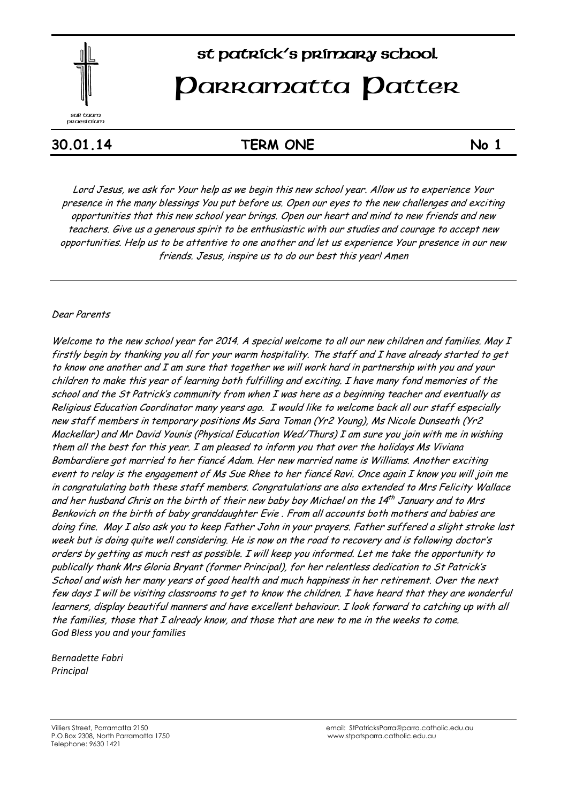

# st patrick's primary school

# **Parramatta Patter**

# **30.01.14 TERM ONE No 1**

Lord Jesus, we ask for Your help as we begin this new school year. Allow us to experience Your presence in the many blessings You put before us. Open our eyes to the new challenges and exciting opportunities that this new school year brings. Open our heart and mind to new friends and new teachers. Give us a generous spirit to be enthusiastic with our studies and courage to accept new opportunities. Help us to be attentive to one another and let us experience Your presence in our new friends. Jesus, inspire us to do our best this year! Amen

#### Dear Parents

Welcome to the new school year for 2014. A special welcome to all our new children and families. May I firstly begin by thanking you all for your warm hospitality. The staff and I have already started to get to know one another and I am sure that together we will work hard in partnership with you and your children to make this year of learning both fulfilling and exciting. I have many fond memories of the school and the St Patrick's community from when I was here as a beginning teacher and eventually as Religious Education Coordinator many years ago. I would like to welcome back all our staff especially new staff members in temporary positions Ms Sara Toman (Yr2 Young), Ms Nicole Dunseath (Yr2 Mackellar) and Mr David Younis (Physical Education Wed/Thurs) I am sure you join with me in wishing them all the best for this year. I am pleased to inform you that over the holidays Ms Viviana Bombardiere got married to her fiancé Adam. Her new married name is Williams. Another exciting event to relay is the engagement of Ms Sue Rhee to her fiancé Ravi. Once again I know you will join me in congratulating both these staff members. Congratulations are also extended to Mrs Felicity Wallace and her husband Chris on the birth of their new baby boy Michael on the 14th January and to Mrs Benkovich on the birth of baby granddaughter Evie . From all accounts both mothers and babies are doing fine. May I also ask you to keep Father John in your prayers. Father suffered a slight stroke last week but is doing quite well considering. He is now on the road to recovery and is following doctor's orders by getting as much rest as possible. I will keep you informed. Let me take the opportunity to publically thank Mrs Gloria Bryant (former Principal), for her relentless dedication to St Patrick's School and wish her many years of good health and much happiness in her retirement. Over the next few days I will be visiting classrooms to get to know the children. I have heard that they are wonderful learners, display beautiful manners and have excellent behaviour. I look forward to catching up with all the families, those that I already know, and those that are new to me in the weeks to come. *God Bless you and your families*

*Bernadette Fabri Principal*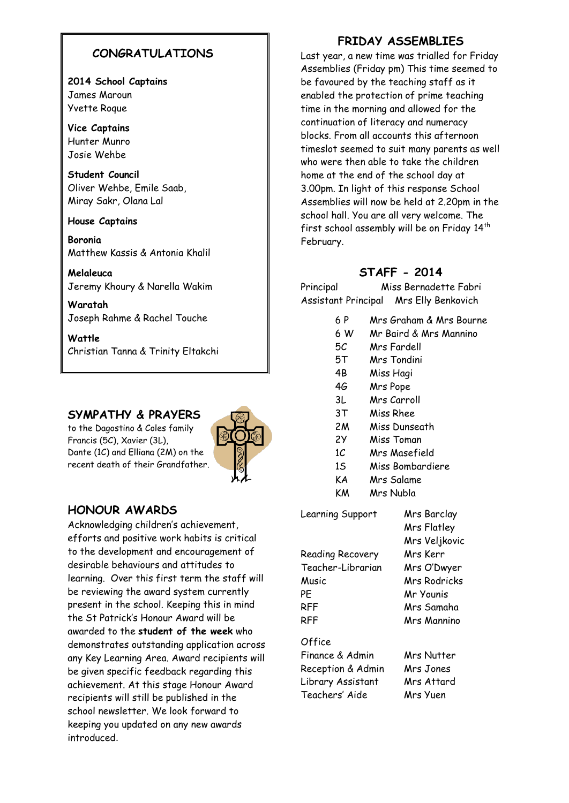# **CONGRATULATIONS**

**2014 School Captains** James Maroun Yvette Roque

**Vice Captains** Hunter Munro Josie Wehbe

**Student Council** Oliver Wehbe, Emile Saab, Miray Sakr, Olana Lal

**House Captains**

**Boronia**  Matthew Kassis & Antonia Khalil

**Melaleuca** Jeremy Khoury & Narella Wakim

**Waratah** Joseph Rahme & Rachel Touche

**Wattle** Christian Tanna & Trinity Eltakchi

### **SYMPATHY & PRAYERS**

to the Dagostino & Coles family Francis (5C), Xavier (3L), Dante (1C) and Elliana (2M) on the recent death of their Grandfather.



### **HONOUR AWARDS**

Acknowledging children's achievement, efforts and positive work habits is critical to the development and encouragement of desirable behaviours and attitudes to learning. Over this first term the staff will be reviewing the award system currently present in the school. Keeping this in mind the St Patrick's Honour Award will be awarded to the **student of the week** who demonstrates outstanding application across any Key Learning Area. Award recipients will be given specific feedback regarding this achievement. At this stage Honour Award recipients will still be published in the school newsletter. We look forward to keeping you updated on any new awards introduced.

#### **FRIDAY ASSEMBLIES**

Last year, a new time was trialled for Friday Assemblies (Friday pm) This time seemed to be favoured by the teaching staff as it enabled the protection of prime teaching time in the morning and allowed for the continuation of literacy and numeracy blocks. From all accounts this afternoon timeslot seemed to suit many parents as well who were then able to take the children home at the end of the school day at 3.00pm. In light of this response School Assemblies will now be held at 2.20pm in the school hall. You are all very welcome. The first school assembly will be on Friday 14<sup>th</sup> February.

# **STAFF - 2014**

Principal Miss Bernadette Fabri Assistant Principal Mrs Elly Benkovich

- 6 P Mrs Graham & Mrs Bourne
- 6 W Mr Baird & Mrs Mannino
- 5C Mrs Fardell
- 5T Mrs Tondini
- 4B Miss Hagi
- 4G Mrs Pope
- 3L Mrs Carroll
- 3T Miss Rhee
- 2M Miss Dunseath
- 2Y Miss Toman
- 1C Mrs Masefield
- 1S Miss Bombardiere
- KA Mrs Salame
- KM Mrs Nubla

Learning Support Mrs Barclay

Mrs Flatley Mrs Veljkovic Reading Recovery Mrs Kerr Teacher-Librarian Mrs O'Dwyer Music Mrs Rodricks PE Mr Younis RFF Mrs Samaha RFF Mrs Mannino

**Office** 

Finance & Admin Mrs Nutter Reception & Admin Mrs Jones Library Assistant Mrs Attard Teachers' Aide Mrs Yuen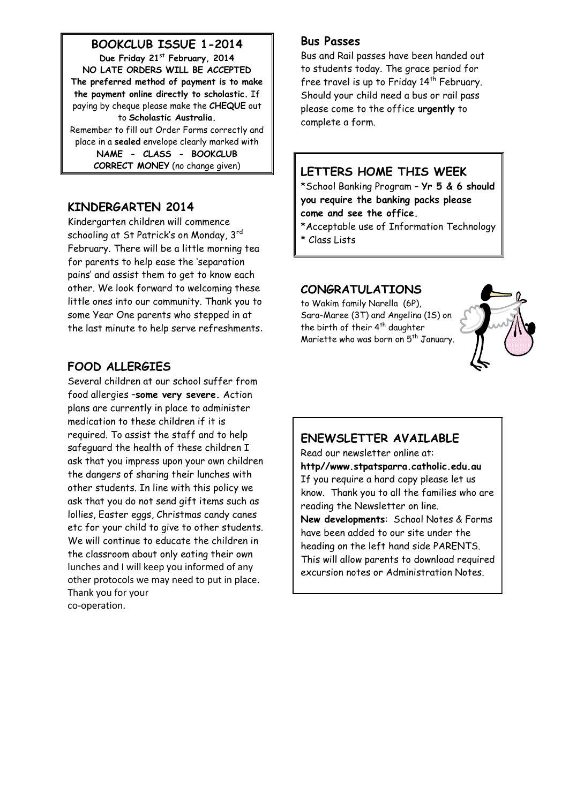**BOOKCLUB ISSUE 1-2014**

**Due Friday 21st February, 2014 NO LATE ORDERS WILL BE ACCEPTED The preferred method of payment is to make the payment online directly to scholastic.** If paying by cheque please make the **CHEQUE** out to **Scholastic Australia.** Remember to fill out Order Forms correctly and place in a **sealed** envelope clearly marked with **NAME - CLASS - BOOKCLUB CORRECT MONEY** (no change given)

# **KINDERGARTEN 2014**

Kindergarten children will commence schooling at St Patrick's on Monday, 3rd February. There will be a little morning tea for parents to help ease the 'separation pains' and assist them to get to know each other. We look forward to welcoming these little ones into our community. Thank you to some Year One parents who stepped in at the last minute to help serve refreshments.

# **FOOD ALLERGIES**

Several children at our school suffer from food allergies –**some very severe.** Action plans are currently in place to administer medication to these children if it is required. To assist the staff and to help safeguard the health of these children I ask that you impress upon your own children the dangers of sharing their lunches with other students. In line with this policy we ask that you do not send gift items such as lollies, Easter eggs, Christmas candy canes etc for your child to give to other students. We will continue to educate the children in the classroom about only eating their own lunches and I will keep you informed of any other protocols we may need to put in place. Thank you for your co-operation.

#### **Bus Passes**

Bus and Rail passes have been handed out to students today. The grace period for free travel is up to Friday  $14<sup>th</sup>$  February. Should your child need a bus or rail pass please come to the office **urgently** to complete a form.

# **LETTERS HOME THIS WEEK**

\*School Banking Program – **Yr 5 & 6 should you require the banking packs please come and see the office.**

\*Acceptable use of Information Technology \* Class Lists

#### **CONGRATULATIONS**

to Wakim family Narella (6P), Sara-Maree (3T) and Angelina (1S) on the birth of their 4<sup>th</sup> daughter Mariette who was born on 5<sup>th</sup> January.



# **ENEWSLETTER AVAILABLE**

Read our newsletter online at: **http//www.stpatsparra.catholic.edu.au** If you require a hard copy please let us know. Thank you to all the families who are reading the Newsletter on line. **New developments**: School Notes & Forms have been added to our site under the heading on the left hand side PARENTS. This will allow parents to download required excursion notes or Administration Notes.